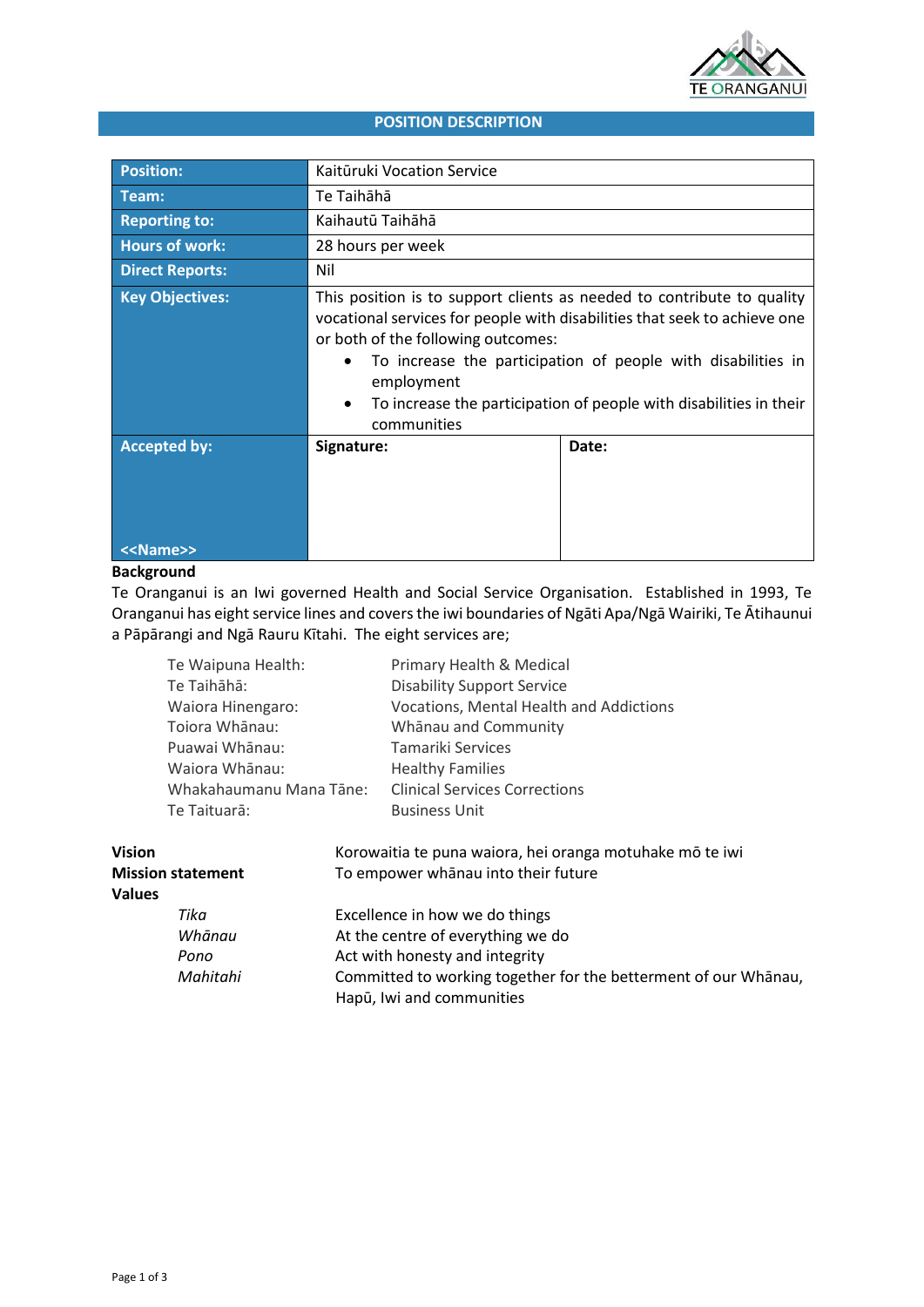

# **POSITION DESCRIPTION**

| <b>Position:</b>       | Kaitūruki Vocation Service                                                                                                                                                                                                                                                                                                                                   |       |
|------------------------|--------------------------------------------------------------------------------------------------------------------------------------------------------------------------------------------------------------------------------------------------------------------------------------------------------------------------------------------------------------|-------|
| Team:                  | Te Taihāhā                                                                                                                                                                                                                                                                                                                                                   |       |
| <b>Reporting to:</b>   | Kaihautū Taihāhā                                                                                                                                                                                                                                                                                                                                             |       |
| <b>Hours of work:</b>  | 28 hours per week                                                                                                                                                                                                                                                                                                                                            |       |
| <b>Direct Reports:</b> | Nil                                                                                                                                                                                                                                                                                                                                                          |       |
| <b>Key Objectives:</b> | This position is to support clients as needed to contribute to quality<br>vocational services for people with disabilities that seek to achieve one<br>or both of the following outcomes:<br>To increase the participation of people with disabilities in<br>employment<br>To increase the participation of people with disabilities in their<br>communities |       |
| <b>Accepted by:</b>    | Signature:                                                                                                                                                                                                                                                                                                                                                   | Date: |
| < <name>&gt;</name>    |                                                                                                                                                                                                                                                                                                                                                              |       |

# **Background**

Te Oranganui is an Iwi governed Health and Social Service Organisation. Established in 1993, Te Oranganui has eight service lines and covers the iwi boundaries of Ngāti Apa/Ngā Wairiki, Te Ātihaunui a Pāpārangi and Ngā Rauru Kītahi. The eight services are;

| Te Waipuna Health:      | Primary Health & Medical                       |
|-------------------------|------------------------------------------------|
| Te Taihāhā:             | <b>Disability Support Service</b>              |
| Waiora Hinengaro:       | <b>Vocations, Mental Health and Addictions</b> |
| Toiora Whānau:          | Whānau and Community                           |
| Puawai Whānau:          | Tamariki Services                              |
| Waiora Whānau:          | <b>Healthy Families</b>                        |
| Whakahaumanu Mana Tāne: | <b>Clinical Services Corrections</b>           |
| Te Taituarā:            | <b>Business Unit</b>                           |
|                         |                                                |

| <b>Vision</b>            | Korowaitia te puna waiora, hei oranga motuhake mō te iwi                                     |  |
|--------------------------|----------------------------------------------------------------------------------------------|--|
| <b>Mission statement</b> | To empower whanau into their future                                                          |  |
| <b>Values</b>            |                                                                                              |  |
| Tika                     | Excellence in how we do things                                                               |  |
| Whānau                   | At the centre of everything we do                                                            |  |
| Pono                     | Act with honesty and integrity                                                               |  |
| Mahitahi                 | Committed to working together for the betterment of our Whānau,<br>Hapū, Iwi and communities |  |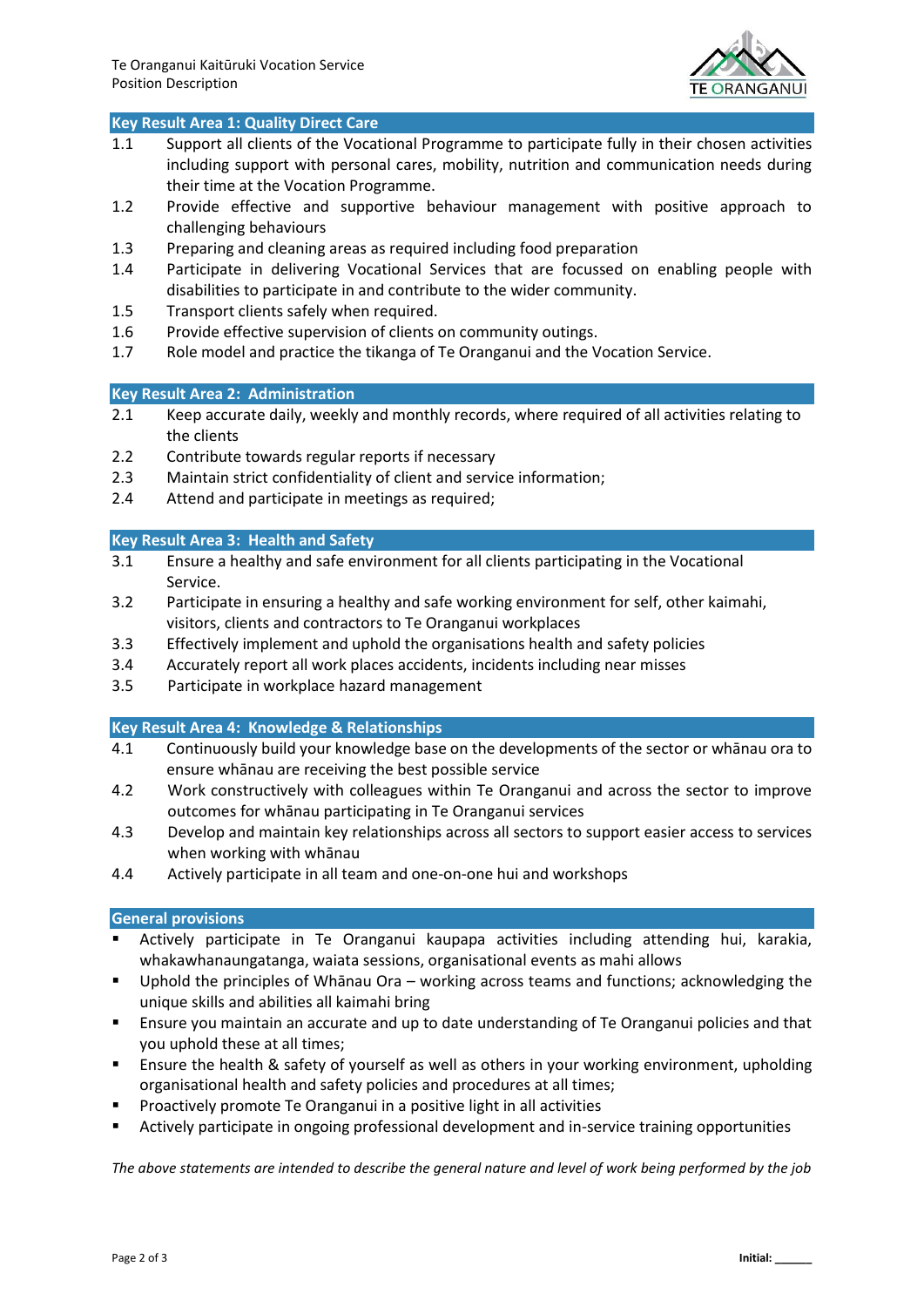

# **Key Result Area 1: Quality Direct Care**

- 1.1 Support all clients of the Vocational Programme to participate fully in their chosen activities including support with personal cares, mobility, nutrition and communication needs during their time at the Vocation Programme.
- 1.2 Provide effective and supportive behaviour management with positive approach to challenging behaviours
- 1.3 Preparing and cleaning areas as required including food preparation
- 1.4 Participate in delivering Vocational Services that are focussed on enabling people with disabilities to participate in and contribute to the wider community.
- 1.5 Transport clients safely when required.
- 1.6 Provide effective supervision of clients on community outings.
- 1.7 Role model and practice the tikanga of Te Oranganui and the Vocation Service.

# **Key Result Area 2: Administration**

- 2.1 Keep accurate daily, weekly and monthly records, where required of all activities relating to the clients
- 2.2 Contribute towards regular reports if necessary
- 2.3 Maintain strict confidentiality of client and service information;
- 2.4 Attend and participate in meetings as required;

# **Key Result Area 3: Health and Safety**

- 3.1 Ensure a healthy and safe environment for all clients participating in the Vocational Service.
- 3.2 Participate in ensuring a healthy and safe working environment for self, other kaimahi, visitors, clients and contractors to Te Oranganui workplaces
- 3.3 Effectively implement and uphold the organisations health and safety policies
- 3.4 Accurately report all work places accidents, incidents including near misses
- 3.5 Participate in workplace hazard management

# **Key Result Area 4: Knowledge & Relationships**

- 4.1 Continuously build your knowledge base on the developments of the sector or whānau ora to ensure whānau are receiving the best possible service
- 4.2 Work constructively with colleagues within Te Oranganui and across the sector to improve outcomes for whānau participating in Te Oranganui services
- 4.3 Develop and maintain key relationships across all sectors to support easier access to services when working with whānau
- 4.4 Actively participate in all team and one-on-one hui and workshops

# **General provisions**

- Actively participate in Te Oranganui kaupapa activities including attending hui, karakia, whakawhanaungatanga, waiata sessions, organisational events as mahi allows
- Uphold the principles of Whānau Ora working across teams and functions; acknowledging the unique skills and abilities all kaimahi bring
- Ensure you maintain an accurate and up to date understanding of Te Oranganui policies and that you uphold these at all times;
- **E** Ensure the health & safety of yourself as well as others in your working environment, upholding organisational health and safety policies and procedures at all times;
- Proactively promote Te Oranganui in a positive light in all activities
- Actively participate in ongoing professional development and in-service training opportunities

*The above statements are intended to describe the general nature and level of work being performed by the job*